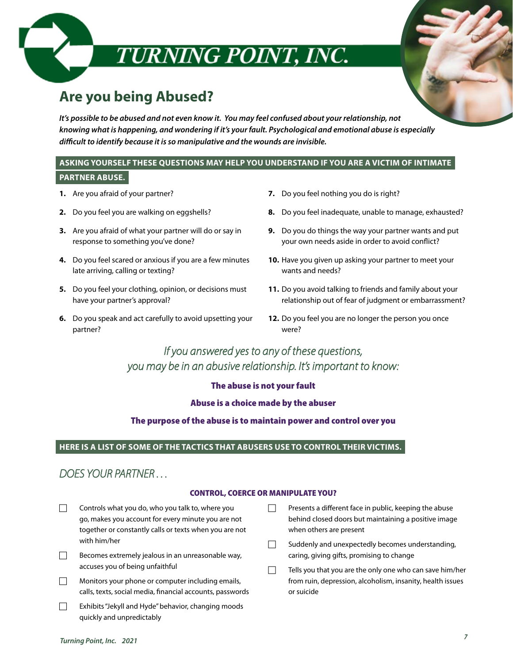

## **Are you being Abused?**

*It's possible to be abused and not even know it. You may feel confused about your relationship, not knowing what is happening, and wondering if it's your fault. Psychological and emotional abuse is especially difficult to identify because it is so manipulative and the wounds are invisible.* 

#### **ASKING YOURSELF THESE QUESTIONS MAY HELP YOU UNDERSTAND IF YOU ARE A VICTIM OF INTIMATE PARTNER ABUSE.**

- **1.** Are you afraid of your partner?
- **2.** Do you feel you are walking on eggshells?
- **3.** Are you afraid of what your partner will do or say in response to something you've done?
- **4.** Do you feel scared or anxious if you are a few minutes late arriving, calling or texting?
- **5.** Do you feel your clothing, opinion, or decisions must have your partner's approval?
- **6.** Do you speak and act carefully to avoid upsetting your partner?
- **7.** Do you feel nothing you do is right?
- **8.** Do you feel inadequate, unable to manage, exhausted?
- **9.** Do you do things the way your partner wants and put your own needs aside in order to avoid conflict?
- **10.** Have you given up asking your partner to meet your wants and needs?
- **11.** Do you avoid talking to friends and family about your relationship out of fear of judgment or embarrassment?
- **12.** Do you feel you are no longer the person you once were?

## *If you answered yes to any of these questions, you may be in an abusive relationship. It's important to know:*

#### The abuse is not your fault

#### Abuse is a choice made by the abuser

#### The purpose of the abuse is to maintain power and control over you

#### **HERE IS A LIST OF SOME OF THE TACTICS THAT ABUSERS USE TO CONTROL THEIR VICTIMS.**

## *DOES YOUR PARTNER . . .*

#### CONTROL, COERCE OR MANIPULATE YOU?

- $\Box$  Controls what you do, who you talk to, where you go, makes you account for every minute you are not together or constantly calls or texts when you are not with him/her
- $\Box$  Becomes extremely jealous in an unreasonable way, accuses you of being unfaithful
- $\Box$  Monitors your phone or computer including emails, calls, texts, social media, financial accounts, passwords
- $\Box$  Exhibits "Jekyll and Hyde" behavior, changing moods quickly and unpredictably
- $\Box$  Presents a different face in public, keeping the abuse behind closed doors but maintaining a positive image when others are present
- $\Box$  Suddenly and unexpectedly becomes understanding, caring, giving gifts, promising to change
- $\Box$  Tells you that you are the only one who can save him/her from ruin, depression, alcoholism, insanity, health issues or suicide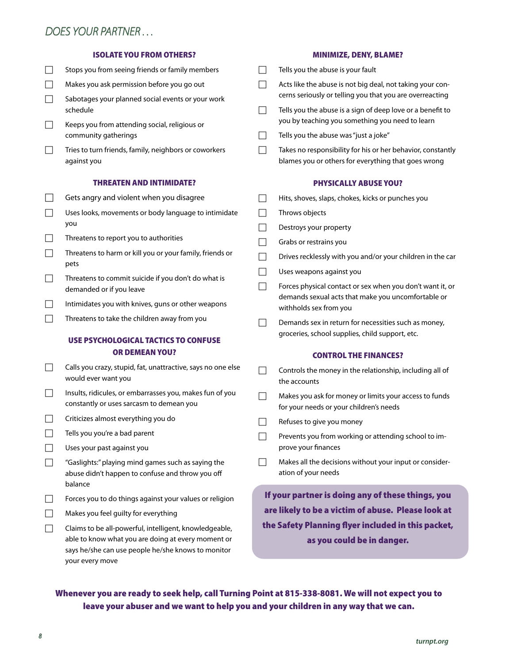## *DOES YOUR PARTNER . . .*

against you

#### ISOLATE YOU FROM OTHERS?

 $\Box$  Stops you from seeing friends or family members  $\Box$  Makes you ask permission before you go out  $\Box$  Sabotages your planned social events or your work schedule  $\Box$  Keeps you from attending social, religious or community gatherings  $\Box$  Tries to turn friends, family, neighbors or coworkers

#### THREATEN AND INTIMIDATE?

- $\Box$  Gets angry and violent when you disagree
- $\Box$  Uses looks, movements or body language to intimidate you
- $\Box$  Threatens to report you to authorities
- $\Box$  Threatens to harm or kill you or your family, friends or pets
- $\Box$  Threatens to commit suicide if you don't do what is demanded or if you leave
- $\Box$  Intimidates you with knives, guns or other weapons
- $\Box$  Threatens to take the children away from you

#### USE PSYCHOLOGICAL TACTICS TO CONFUSE OR DEMEAN YOU?

- Calls you crazy, stupid, fat, unattractive, says no one else would ever want you
- $\Box$  Insults, ridicules, or embarrasses you, makes fun of you constantly or uses sarcasm to demean you
- $\Box$  Criticizes almost everything you do
- $\Box$  Tells you you're a bad parent
- $\Box$  Uses your past against you
- $\Box$  "Gaslights:" playing mind games such as saying the abuse didn't happen to confuse and throw you off balance
- $\Box$  Forces you to do things against your values or religion
- $\Box$  Makes you feel quilty for everything
- $\Box$  Claims to be all-powerful, intelligent, knowledgeable, able to know what you are doing at every moment or says he/she can use people he/she knows to monitor your every move

#### MINIMIZE, DENY, BLAME?

- $\Box$  Tells you the abuse is your fault
- $\Box$  Acts like the abuse is not big deal, not taking your concerns seriously or telling you that you are overreacting
- $\Box$  Tells you the abuse is a sign of deep love or a benefit to you by teaching you something you need to learn
- $\Box$  Tells you the abuse was "just a joke"
- $\Box$  Takes no responsibility for his or her behavior, constantly blames you or others for everything that goes wrong

#### PHYSICALLY ABUSE YOU?

- $\Box$  Hits, shoves, slaps, chokes, kicks or punches you
- $\Box$  Throws objects
- $\Box$  Destroys your property
- $\Box$  Grabs or restrains you
- $\Box$  Drives recklessly with you and/or your children in the car
- $\Box$  Uses weapons against you
- $\Box$  Forces physical contact or sex when you don't want it, or demands sexual acts that make you uncomfortable or withholds sex from you
- $\Box$  Demands sex in return for necessities such as money, groceries, school supplies, child support, etc.

#### CONTROL THE FINANCES?

- $\Box$  Controls the money in the relationship, including all of the accounts
- $\Box$  Makes you ask for money or limits your access to funds for your needs or your children's needs
- $\Box$  Refuses to give you money
- $\Box$  Prevents you from working or attending school to improve your finances
- $\Box$  Makes all the decisions without your input or consideration of your needs

If your partner is doing any of these things, you are likely to be a victim of abuse. Please look at the Safety Planning flyer included in this packet, as you could be in danger.

#### Whenever you are ready to seek help, call Turning Point at 815-338-8081. We will not expect you to leave your abuser and we want to help you and your children in any way that we can.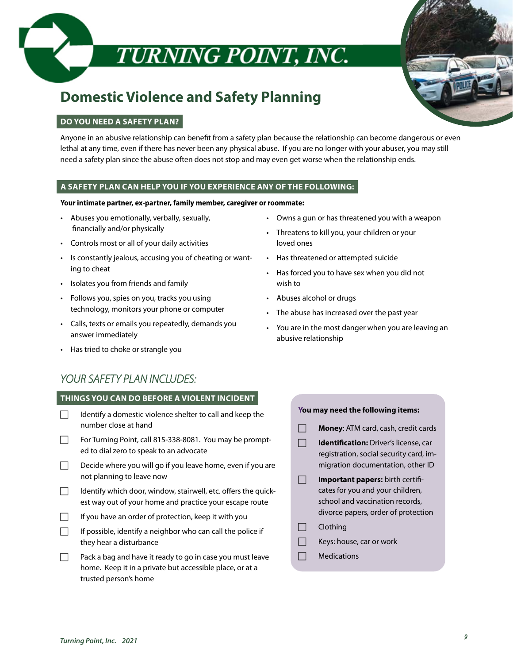

# TURNING POINT, INC.

## **Domestic Violence and Safety Planning**

#### **DO YOU NEED A SAFETY PLAN?**

Anyone in an abusive relationship can benefit from a safety plan because the relationship can become dangerous or even lethal at any time, even if there has never been any physical abuse. If you are no longer with your abuser, you may still need a safety plan since the abuse often does not stop and may even get worse when the relationship ends.

#### **A SAFETY PLAN CAN HELP YOU IF YOU EXPERIENCE ANY OF THE FOLLOWING:**

#### **Your intimate partner, ex-partner, family member, caregiver or roommate:**

- Abuses you emotionally, verbally, sexually, financially and/or physically
- Controls most or all of your daily activities
- Is constantly jealous, accusing you of cheating or wanting to cheat
- Isolates you from friends and family
- Follows you, spies on you, tracks you using technology, monitors your phone or computer
- Calls, texts or emails you repeatedly, demands you answer immediately
- Has tried to choke or strangle you
- *YOUR SAFETY PLAN INCLUDES:*

#### **THINGS YOU CAN DO BEFORE A VIOLENT INCIDENT**

- $\Box$  Identify a domestic violence shelter to call and keep the number close at hand
- $\Box$  For Turning Point, call 815-338-8081. You may be prompted to dial zero to speak to an advocate
- $\Box$  Decide where you will go if you leave home, even if you are not planning to leave now
- $\Box$  Identify which door, window, stairwell, etc. offers the quickest way out of your home and practice your escape route
- $\Box$  If you have an order of protection, keep it with you
- $\Box$  If possible, identify a neighbor who can call the police if they hear a disturbance
- $\Box$  Pack a bag and have it ready to go in case you must leave home. Keep it in a private but accessible place, or at a trusted person's home
- Owns a gun or has threatened you with a weapon
- Threatens to kill you, your children or your loved ones
- Has threatened or attempted suicide
- Has forced you to have sex when you did not wish to
- Abuses alcohol or drugs
- The abuse has increased over the past year
- You are in the most danger when you are leaving an abusive relationship

#### **You may need the following items:**

- **Money:** ATM card, cash, credit cards
- **Identification:** Driver's license, car registration, social security card, immigration documentation, other ID
- **Important papers:** birth certificates for you and your children, school and vaccination records, divorce papers, order of protection
- $\Box$  Clothing
- $\Box$  Keys: house, car or work
- $\Box$  Medications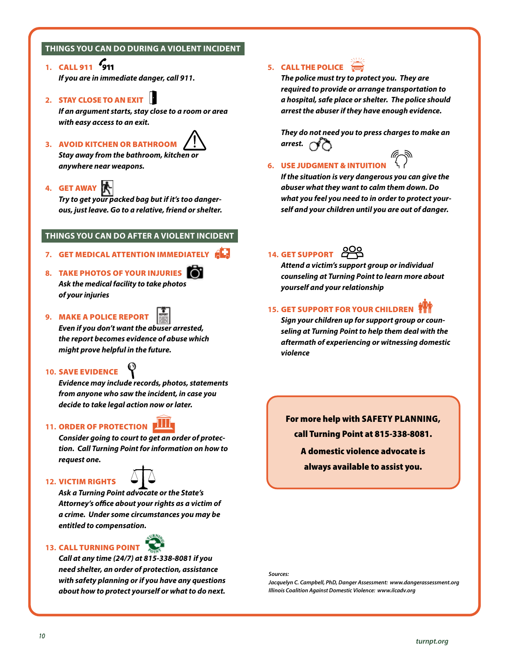#### **THINGS YOU CAN DO DURING A VIOLENT INCIDENT**

- **1.** CALL 911 *If you are in immediate danger, call 911.*
- **2.** STAY CLOSE TO AN EXIT

*If an argument starts, stay close to a room or area with easy access to an exit.*

### **3.** AVOID KITCHEN OR BATHROOM

*Stay away from the bathroom, kitchen or anywhere near weapons.*

#### **4.** GET AWAY

*Try to get your packed bag but if it's too dangerous, just leave. Go to a relative, friend or shelter.*

#### **THINGS YOU CAN DO AFTER A VIOLENT INCIDENT**

- **7.** GET MEDICAL ATTENTION IMMEDIATELY
- **8.** TAKE PHOTOS OF YOUR INJURIES *Ask the medical facility to take photos of your injuries*
- **9.** MAKE A POLICE REPORT

*Even if you don't want the abuser arrested, the report becomes evidence of abuse which might prove helpful in the future.*

#### **10.** SAVE EVIDENCE

*Evidence may include records, photos, statements from anyone who saw the incident, in case you decide to take legal action now or later.* 

#### **11. ORDER OF PROTECTION FILLE**

*Consider going to court to get an order of protection. Call Turning Point for information on how to request one.*

#### **12.** VICTIM RIGHTS



*Ask a Turning Point advocate or the State's Attorney's office about your rights as a victim of a crime. Under some circumstances you may be entitled to compensation.*

#### **13.** CALL TURNING POINT

*Call at any time (24/7) at 815-338-8081 if you need shelter, an order of protection, assistance with safety planning or if you have any questions about how to protect yourself or what to do next.*

## **5.** CALL THE POLICE

*The police must try to protect you. They are required to provide or arrange transportation to a hospital, safe place or shelter. The police should arrest the abuser if they have enough evidence.* 

*They do not need you to press charges to make an arrest.*  $\rightarrow$ 

## **6.** USE JUDGMENT & INTUITION

*If the situation is very dangerous you can give the abuser what they want to calm them down. Do what you feel you need to in order to protect yourself and your children until you are out of danger.*

#### 14. GET SUPPORT **POP**

*Attend a victim's support group or individual counseling at Turning Point to learn more about yourself and your relationship*

#### **15.** GET SUPPORT FOR YOUR CHILDREN

*Sign your children up for support group or counseling at Turning Point to help them deal with the aftermath of experiencing or witnessing domestic violence*

For more help with SAFETY PLANNING, call Turning Point at 815-338-8081. A domestic violence advocate is always available to assist you.

#### *Sources:*

*Jacquelyn C. Campbell, PhD, Danger Assessment: www.dangerassessment.org Illinois Coalition Against Domestic Violence: www.ilcadv.org*